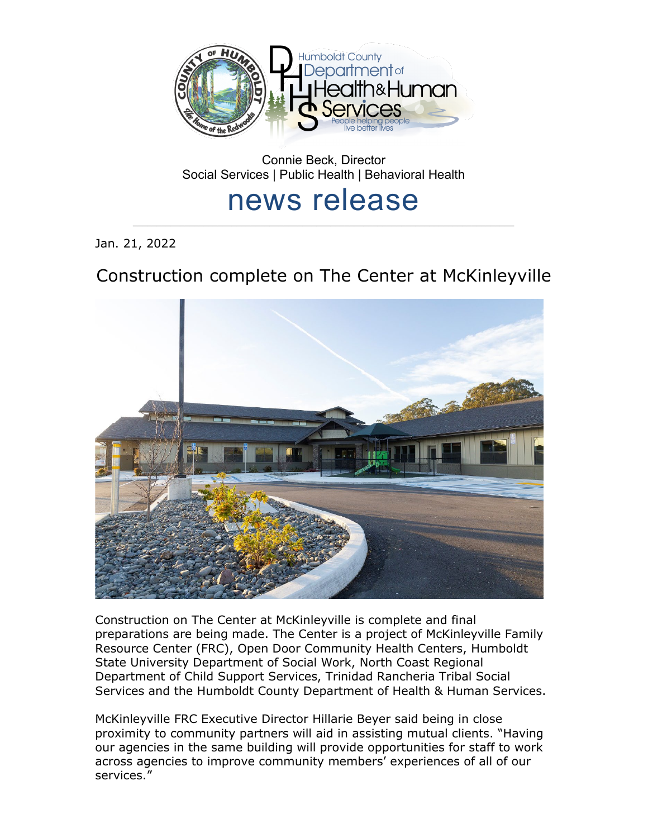

Connie Beck, Director Social Services | Public Health | Behavioral Health

## news release

\_\_\_\_\_\_\_\_\_\_\_\_\_\_\_\_\_\_\_\_\_\_\_\_\_\_\_\_\_\_\_\_\_\_\_\_\_\_\_\_\_\_\_\_\_\_\_\_\_\_\_\_\_\_\_\_\_\_\_\_\_\_\_\_\_\_\_\_\_\_\_\_\_\_\_\_\_\_\_\_\_

Jan. 21, 2022

## Construction complete on The Center at McKinleyville



Construction on The Center at McKinleyville is complete and final preparations are being made. The Center is a project of McKinleyville Family Resource Center (FRC), Open Door Community Health Centers, Humboldt State University Department of Social Work, North Coast Regional Department of Child Support Services, Trinidad Rancheria Tribal Social Services and the Humboldt County Department of Health & Human Services.

McKinleyville FRC Executive Director Hillarie Beyer said being in close proximity to community partners will aid in assisting mutual clients. "Having our agencies in the same building will provide opportunities for staff to work across agencies to improve community members' experiences of all of our services."